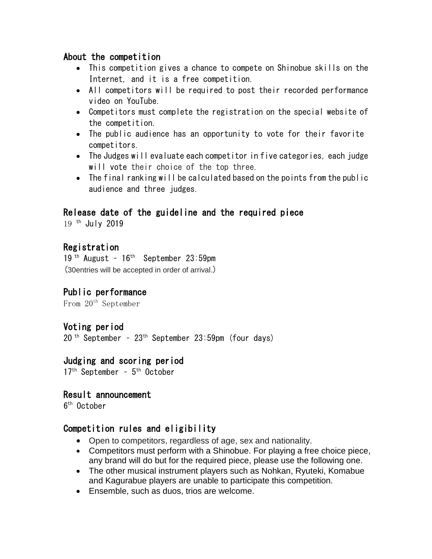### About the competition

- This competition gives a chance to compete on Shinobue skills on the Internet, and it is a free competition.
- All competitors will be required to post their recorded performance video on YouTube.
- Competitors must complete the registration on the special website of the competition.
- The public audience has an opportunity to vote for their favorite competitors.
- The Judges will evaluate each competitor in five categories, each judge will vote their choice of the top three.
- The final ranking will be calculated based on the points from the public audience and three judges.

# Release date of the guideline and the required piece

19 <sup>th</sup> July 2019

# Registration

19<sup>th</sup> August - 16<sup>th</sup> September 23:59pm (30entries will be accepted in order of arrival.)

#### Public performance

From 20th September

#### Voting period

20 th September – 23th September 23:59pm (four days)

#### Judging and scoring period

17<sup>th</sup> September - 5<sup>th</sup> October

#### Result announcement

6 th October

#### Competition rules and eligibility

- Open to competitors, regardless of age, sex and nationality.
- Competitors must perform with a Shinobue. For playing a free choice piece, any brand will do but for the required piece, please use the following one.
- The other musical instrument players such as Nohkan, Ryuteki, Komabue and Kagurabue players are unable to participate this competition.
- Ensemble, such as duos, trios are welcome.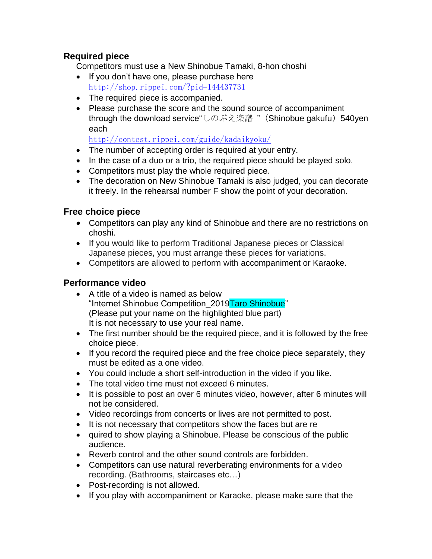#### **Required piece**

Competitors must use a New Shinobue Tamaki, 8-hon choshi

- If you don't have one, please purchase here <http://shop.rippei.com/?pid=144437731>
- The required piece is accompanied.
- Please purchase the score and the sound source of accompaniment through the download service"しのぶえ楽譜 " (Shinobue gakufu) 540yen each

<http://contest.rippei.com/guide/kadaikyoku/>

- The number of accepting order is required at your entry.
- In the case of a duo or a trio, the required piece should be played solo.
- Competitors must play the whole required piece.
- The decoration on New Shinobue Tamaki is also judged, you can decorate it freely. In the rehearsal number F show the point of your decoration.

# **Free choice piece**

- Competitors can play any kind of Shinobue and there are no restrictions on choshi.
- If you would like to perform Traditional Japanese pieces or Classical Japanese pieces, you must arrange these pieces for variations.
- Competitors are allowed to perform with accompaniment or Karaoke.

### **Performance video**

- A title of a video is named as below "Internet Shinobue Competition\_2019Taro Shinobue" (Please put your name on the highlighted blue part) It is not necessary to use your real name.
- The first number should be the required piece, and it is followed by the free choice piece.
- If you record the required piece and the free choice piece separately, they must be edited as a one video.
- You could include a short self-introduction in the video if you like.
- The total video time must not exceed 6 minutes.
- It is possible to post an over 6 minutes video, however, after 6 minutes will not be considered.
- Video recordings from concerts or lives are not permitted to post.
- It is not necessary that competitors show the faces but are re
- quired to show playing a Shinobue. Please be conscious of the public audience.
- Reverb control and the other sound controls are forbidden.
- Competitors can use natural reverberating environments for a video recording. (Bathrooms, staircases etc…)
- Post-recording is not allowed.
- If you play with accompaniment or Karaoke, please make sure that the